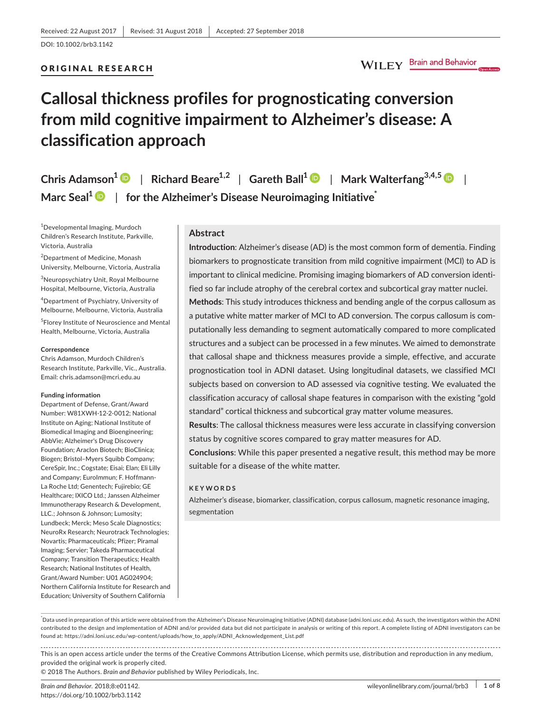#### ORIGINAL RESEARCH

# **Callosal thickness profiles for prognosticating conversion from mild cognitive impairment to Alzheimer's disease: A classification approach**

**Chris Adamson1** | **Richard Beare1,2** | **Gareth Ball<sup>1</sup>** | **Mark Walterfang3,4,[5](http://orcid.org/0000-0002-1389-3691)** | **Marc Seal<sup>1</sup>** | **for the Alzheimer's Disease Neuroimaging Initiative\***

1 Developmental Imaging, Murdoch Children's Research Institute, Parkville, Victoria, Australia

2 Department of Medicine, Monash University, Melbourne, Victoria, Australia

3 Neuropsychiatry Unit, Royal Melbourne Hospital, Melbourne, Victoria, Australia

4 Department of Psychiatry, University of Melbourne, Melbourne, Victoria, Australia

5 Florey Institute of Neuroscience and Mental Health, Melbourne, Victoria, Australia

#### **Correspondence**

Chris Adamson, Murdoch Children's Research Institute, Parkville, Vic., Australia. Email: [chris.adamson@mcri.edu.au](mailto:chris.adamson@mcri.edu.au)

#### **Funding information**

Department of Defense, Grant/Award Number: W81XWH-12-2-0012; National Institute on Aging; National Institute of Biomedical Imaging and Bioengineering; AbbVie; Alzheimer's Drug Discovery Foundation; Araclon Biotech; BioClinica; Biogen; Bristol–Myers Squibb Company; CereSpir, Inc.; Cogstate; Eisai; Elan; Eli Lilly and Company; EuroImmun; F. Hoffmann-La Roche Ltd; Genentech; Fujirebio; GE Healthcare; IXICO Ltd.; Janssen Alzheimer Immunotherapy Research & Development, LLC.; Johnson & Johnson; Lumosity; Lundbeck; Merck; Meso Scale Diagnostics; NeuroRx Research; Neurotrack Technologies; Novartis; Pharmaceuticals; Pfizer; Piramal Imaging; Servier; Takeda Pharmaceutical Company; Transition Therapeutics; Health Research; National Institutes of Health, Grant/Award Number: U01 AG024904; Northern California Institute for Research and Education; University of Southern California

#### **Abstract**

**Introduction**: Alzheimer's disease (AD) is the most common form of dementia. Finding biomarkers to prognosticate transition from mild cognitive impairment (MCI) to AD is important to clinical medicine. Promising imaging biomarkers of AD conversion identified so far include atrophy of the cerebral cortex and subcortical gray matter nuclei. **Methods**: This study introduces thickness and bending angle of the corpus callosum as a putative white matter marker of MCI to AD conversion. The corpus callosum is computationally less demanding to segment automatically compared to more complicated structures and a subject can be processed in a few minutes. We aimed to demonstrate that callosal shape and thickness measures provide a simple, effective, and accurate prognostication tool in ADNI dataset. Using longitudinal datasets, we classified MCI subjects based on conversion to AD assessed via cognitive testing. We evaluated the classification accuracy of callosal shape features in comparison with the existing "gold standard" cortical thickness and subcortical gray matter volume measures.

**Results**: The callosal thickness measures were less accurate in classifying conversion status by cognitive scores compared to gray matter measures for AD.

**Conclusions**: While this paper presented a negative result, this method may be more suitable for a disease of the white matter.

#### **KEYWORDS**

Alzheimer's disease, biomarker, classification, corpus callosum, magnetic resonance imaging, segmentation

\* Data used in preparation of this article were obtained from the Alzheimer's Disease Neuroimaging Initiative (ADNI) database (adni.loni.usc.edu). As such, the investigators within the ADNI contributed to the design and implementation of ADNI and/or provided data but did not participate in analysis or writing of this report. A complete listing of ADNI investigators can be found at: [https://adni.loni.usc.edu/wp-content/uploads/how\\_to\\_apply/ADNI\\_Acknowledgement\\_List.pdf](https://adni.loni.usc.edu/wp-content/uploads/how_to_apply/ADNI_Acknowledgement_List.pdf)

This is an open access article under the terms of the [Creative Commons Attribution](http://creativecommons.org/licenses/by/4.0/) License, which permits use, distribution and reproduction in any medium, provided the original work is properly cited.

© 2018 The Authors. *Brain and Behavior* published by Wiley Periodicals, Inc.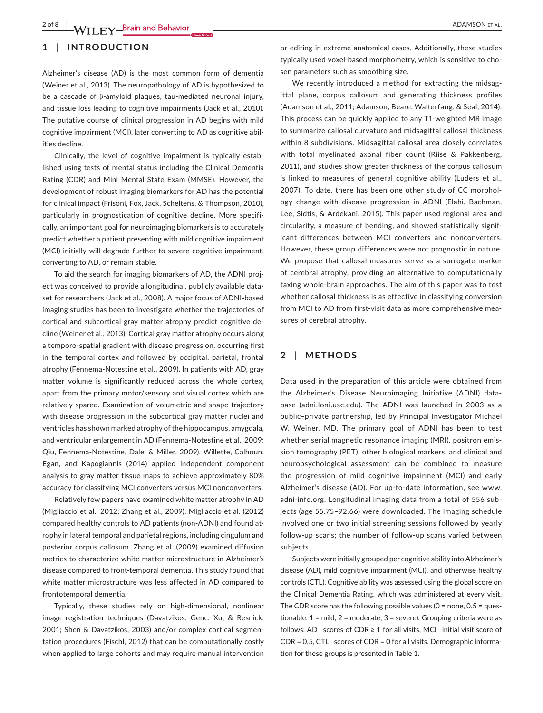# **1** | **INTRODUCTION**

Alzheimer's disease (AD) is the most common form of dementia (Weiner et al., 2013). The neuropathology of AD is hypothesized to be a cascade of β-amyloid plaques, tau-mediated neuronal injury, and tissue loss leading to cognitive impairments (Jack et al., 2010). The putative course of clinical progression in AD begins with mild cognitive impairment (MCI), later converting to AD as cognitive abilities decline.

Clinically, the level of cognitive impairment is typically established using tests of mental status including the Clinical Dementia Rating (CDR) and Mini Mental State Exam (MMSE). However, the development of robust imaging biomarkers for AD has the potential for clinical impact (Frisoni, Fox, Jack, Scheltens, & Thompson, 2010), particularly in prognostication of cognitive decline. More specifically, an important goal for neuroimaging biomarkers is to accurately predict whether a patient presenting with mild cognitive impairment (MCI) initially will degrade further to severe cognitive impairment, converting to AD, or remain stable.

To aid the search for imaging biomarkers of AD, the ADNI project was conceived to provide a longitudinal, publicly available dataset for researchers (Jack et al., 2008). A major focus of ADNI-based imaging studies has been to investigate whether the trajectories of cortical and subcortical gray matter atrophy predict cognitive decline (Weiner et al., 2013). Cortical gray matter atrophy occurs along a temporo-spatial gradient with disease progression, occurring first in the temporal cortex and followed by occipital, parietal, frontal atrophy (Fennema-Notestine et al., 2009). In patients with AD, gray matter volume is significantly reduced across the whole cortex, apart from the primary motor/sensory and visual cortex which are relatively spared. Examination of volumetric and shape trajectory with disease progression in the subcortical gray matter nuclei and ventricles has shown marked atrophy of the hippocampus, amygdala, and ventricular enlargement in AD (Fennema-Notestine et al., 2009; Qiu, Fennema-Notestine, Dale, & Miller, 2009). Willette, Calhoun, Egan, and Kapogiannis (2014) applied independent component analysis to gray matter tissue maps to achieve approximately 80% accuracy for classifying MCI converters versus MCI nonconverters.

Relatively few papers have examined white matter atrophy in AD (Migliaccio et al., 2012; Zhang et al., 2009). Migliaccio et al. (2012) compared healthy controls to AD patients (non-ADNI) and found atrophy in lateral temporal and parietal regions, including cingulum and posterior corpus callosum. Zhang et al. (2009) examined diffusion metrics to characterize white matter microstructure in Alzheimer's disease compared to front-temporal dementia. This study found that white matter microstructure was less affected in AD compared to frontotemporal dementia.

Typically, these studies rely on high-dimensional, nonlinear image registration techniques (Davatzikos, Genc, Xu, & Resnick, 2001; Shen & Davatzikos, 2003) and/or complex cortical segmentation procedures (Fischl, 2012) that can be computationally costly when applied to large cohorts and may require manual intervention

or editing in extreme anatomical cases. Additionally, these studies typically used voxel-based morphometry, which is sensitive to chosen parameters such as smoothing size.

We recently introduced a method for extracting the midsagittal plane, corpus callosum and generating thickness profiles (Adamson et al., 2011; Adamson, Beare, Walterfang, & Seal, 2014). This process can be quickly applied to any T1‐weighted MR image to summarize callosal curvature and midsagittal callosal thickness within 8 subdivisions. Midsagittal callosal area closely correlates with total myelinated axonal fiber count (Riise & Pakkenberg, 2011), and studies show greater thickness of the corpus callosum is linked to measures of general cognitive ability (Luders et al., 2007). To date, there has been one other study of CC morphology change with disease progression in ADNI (Elahi, Bachman, Lee, Sidtis, & Ardekani, 2015). This paper used regional area and circularity, a measure of bending, and showed statistically significant differences between MCI converters and nonconverters. However, these group differences were not prognostic in nature. We propose that callosal measures serve as a surrogate marker of cerebral atrophy, providing an alternative to computationally taxing whole-brain approaches. The aim of this paper was to test whether callosal thickness is as effective in classifying conversion from MCI to AD from first-visit data as more comprehensive measures of cerebral atrophy.

## **2** | **METHODS**

Data used in the preparation of this article were obtained from the Alzheimer's Disease Neuroimaging Initiative (ADNI) database (adni.loni.usc.edu). The ADNI was launched in 2003 as a public–private partnership, led by Principal Investigator Michael W. Weiner, MD. The primary goal of ADNI has been to test whether serial magnetic resonance imaging (MRI), positron emission tomography (PET), other biological markers, and clinical and neuropsychological assessment can be combined to measure the progression of mild cognitive impairment (MCI) and early Alzheimer's disease (AD). For up-to-date information, see [www.](www.adni-info.org) [adni-info.org.](www.adni-info.org) Longitudinal imaging data from a total of 556 subjects (age 55.75–92.66) were downloaded. The imaging schedule involved one or two initial screening sessions followed by yearly follow-up scans; the number of follow-up scans varied between subjects.

Subjects were initially grouped per cognitive ability into Alzheimer's disease (AD), mild cognitive impairment (MCI), and otherwise healthy controls (CTL). Cognitive ability was assessed using the global score on the Clinical Dementia Rating, which was administered at every visit. The CDR score has the following possible values ( $0 =$  none,  $0.5 =$  questionable, 1 = mild, 2 = moderate, 3 = severe). Grouping criteria were as follows: AD—scores of CDR ≥ 1 for all visits, MCI—initial visit score of CDR = 0.5, CTL—scores of CDR = 0 for all visits. Demographic information for these groups is presented in Table 1.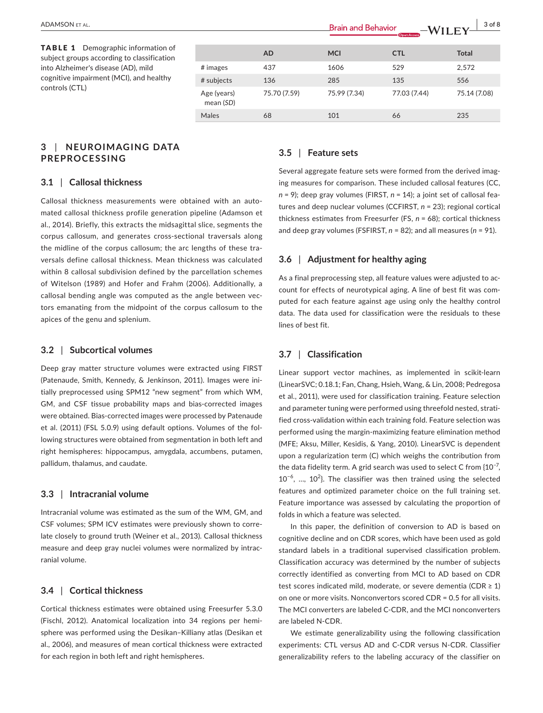| ADAMSON et al.                                                                                                                                                                                 |                          |              | 3 of 8<br>Brain and Behavior<br>-WILEY-<br>Open Access |              |              |
|------------------------------------------------------------------------------------------------------------------------------------------------------------------------------------------------|--------------------------|--------------|--------------------------------------------------------|--------------|--------------|
| <b>TABLE 1</b><br>Demographic information of<br>subject groups according to classification<br>into Alzheimer's disease (AD), mild<br>cognitive impairment (MCI), and healthy<br>controls (CTL) |                          | <b>AD</b>    | <b>MCI</b>                                             | <b>CTL</b>   | <b>Total</b> |
|                                                                                                                                                                                                | # images                 | 437          | 1606                                                   | 529          | 2,572        |
|                                                                                                                                                                                                | # subjects               | 136          | 285                                                    | 135          | 556          |
|                                                                                                                                                                                                | Age (years)<br>mean (SD) | 75.70 (7.59) | 75.99 (7.34)                                           | 77.03 (7.44) | 75.14 (7.08) |
|                                                                                                                                                                                                | Males                    | 68           | 101                                                    | 66           | 235          |

# **3** | **NEUROIMAGING DATA PREPROCESSING**

#### **3.1** | **Callosal thickness**

Callosal thickness measurements were obtained with an automated callosal thickness profile generation pipeline (Adamson et al., 2014). Briefly, this extracts the midsagittal slice, segments the corpus callosum, and generates cross-sectional traversals along the midline of the corpus callosum; the arc lengths of these traversals define callosal thickness. Mean thickness was calculated within 8 callosal subdivision defined by the parcellation schemes of Witelson (1989) and Hofer and Frahm (2006). Additionally, a callosal bending angle was computed as the angle between vectors emanating from the midpoint of the corpus callosum to the apices of the genu and splenium.

#### **3.2** | **Subcortical volumes**

Deep gray matter structure volumes were extracted using FIRST (Patenaude, Smith, Kennedy, & Jenkinson, 2011). Images were initially preprocessed using SPM12 "new segment" from which WM, GM, and CSF tissue probability maps and bias‐corrected images were obtained. Bias-corrected images were processed by Patenaude et al. (2011) (FSL 5.0.9) using default options. Volumes of the following structures were obtained from segmentation in both left and right hemispheres: hippocampus, amygdala, accumbens, putamen, pallidum, thalamus, and caudate.

## **3.3** | **Intracranial volume**

Intracranial volume was estimated as the sum of the WM, GM, and CSF volumes; SPM ICV estimates were previously shown to correlate closely to ground truth (Weiner et al., 2013). Callosal thickness measure and deep gray nuclei volumes were normalized by intracranial volume.

#### **3.4** | **Cortical thickness**

Cortical thickness estimates were obtained using Freesurfer 5.3.0 (Fischl, 2012). Anatomical localization into 34 regions per hemisphere was performed using the Desikan–Killiany atlas (Desikan et al., 2006), and measures of mean cortical thickness were extracted for each region in both left and right hemispheres.

#### **3.5** | **Feature sets**

Several aggregate feature sets were formed from the derived imaging measures for comparison. These included callosal features (CC, *n* = 9); deep gray volumes (FIRST, *n* = 14); a joint set of callosal features and deep nuclear volumes (CCFIRST, *n* = 23); regional cortical thickness estimates from Freesurfer (FS, *n* = 68); cortical thickness and deep gray volumes (FSFIRST, *n* = 82); and all measures (*n* = 91).

#### **3.6** | **Adjustment for healthy aging**

As a final preprocessing step, all feature values were adjusted to account for effects of neurotypical aging. A line of best fit was computed for each feature against age using only the healthy control data. The data used for classification were the residuals to these lines of best fit.

#### **3.7** | **Classification**

Linear support vector machines, as implemented in scikit-learn (LinearSVC; 0.18.1; Fan, Chang, Hsieh, Wang, & Lin, 2008; Pedregosa et al., 2011), were used for classification training. Feature selection and parameter tuning were performed using threefold nested, stratified cross-validation within each training fold. Feature selection was performed using the margin-maximizing feature elimination method (MFE; Aksu, Miller, Kesidis, & Yang, 2010). LinearSVC is dependent upon a regularization term (C) which weighs the contribution from the data fidelity term. A grid search was used to select C from  $\{10^{-7},\}$  $10^{-6}$ , ...,  $10^2$ }. The classifier was then trained using the selected features and optimized parameter choice on the full training set. Feature importance was assessed by calculating the proportion of folds in which a feature was selected.

In this paper, the definition of conversion to AD is based on cognitive decline and on CDR scores, which have been used as gold standard labels in a traditional supervised classification problem. Classification accuracy was determined by the number of subjects correctly identified as converting from MCI to AD based on CDR test scores indicated mild, moderate, or severe dementia (CDR  $\geq$  1) on one or more visits. Nonconvertors scored CDR = 0.5 for all visits. The MCI converters are labeled C-CDR, and the MCI nonconverters are labeled N-CDR.

We estimate generalizability using the following classification experiments: CTL versus AD and C-CDR versus N-CDR. Classifier generalizability refers to the labeling accuracy of the classifier on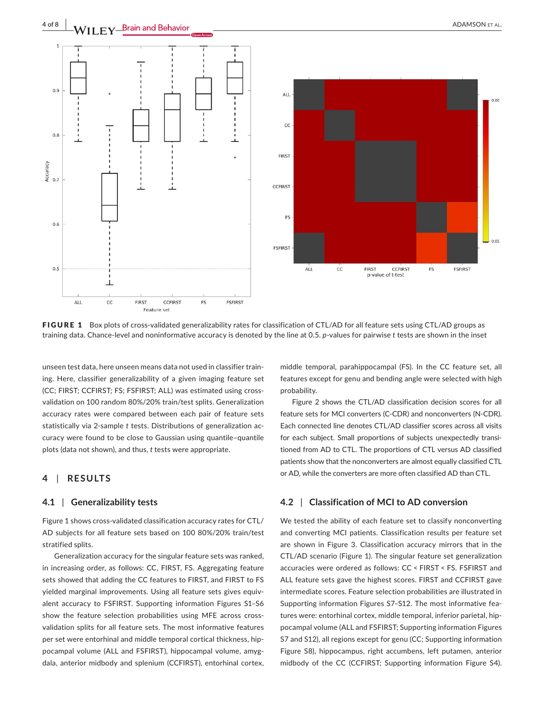

FIGURE 1 Box plots of cross-validated generalizability rates for classification of CTL/AD for all feature sets using CTL/AD groups as training data. Chance-level and noninformative accuracy is denoted by the line at 0.5. *p*-values for pairwise *t* tests are shown in the inset

unseen test data, here unseen means data not used in classifier training. Here, classifier generalizability of a given imaging feature set (CC; FIRST; CCFIRST; FS; FSFIRST; ALL) was estimated using cross‐ validation on 100 random 80%/20% train/test splits. Generalization accuracy rates were compared between each pair of feature sets statistically via 2-sample *t* tests. Distributions of generalization accuracy were found to be close to Gaussian using quantile–quantile plots (data not shown), and thus, *t* tests were appropriate.

#### **4** | **RESULTS**

#### **4.1** | **Generalizability tests**

Figure 1 shows cross-validated classification accuracy rates for CTL/ AD subjects for all feature sets based on 100 80%/20% train/test stratified splits.

Generalization accuracy for the singular feature sets was ranked, in increasing order, as follows: CC, FIRST, FS. Aggregating feature sets showed that adding the CC features to FIRST, and FIRST to FS yielded marginal improvements. Using all feature sets gives equivalent accuracy to FSFIRST. Supporting information Figures S1–S6 show the feature selection probabilities using MFE across crossvalidation splits for all feature sets. The most informative features per set were entorhinal and middle temporal cortical thickness, hippocampal volume (ALL and FSFIRST), hippocampal volume, amygdala, anterior midbody and splenium (CCFIRST), entorhinal cortex,

middle temporal, parahippocampal (FS). In the CC feature set, all features except for genu and bending angle were selected with high probability.

Figure 2 shows the CTL/AD classification decision scores for all feature sets for MCI converters (C-CDR) and nonconverters (N-CDR). Each connected line denotes CTL/AD classifier scores across all visits for each subject. Small proportions of subjects unexpectedly transitioned from AD to CTL. The proportions of CTL versus AD classified patients show that the nonconverters are almost equally classified CTL or AD, while the converters are more often classified AD than CTL.

## **4.2** | **Classification of MCI to AD conversion**

We tested the ability of each feature set to classify nonconverting and converting MCI patients. Classification results per feature set are shown in Figure 3. Classification accuracy mirrors that in the CTL/AD scenario (Figure 1). The singular feature set generalization accuracies were ordered as follows: CC < FIRST < FS. FSFIRST and ALL feature sets gave the highest scores. FIRST and CCFIRST gave intermediate scores. Feature selection probabilities are illustrated in Supporting information Figures S7–S12. The most informative features were: entorhinal cortex, middle temporal, inferior parietal, hippocampal volume (ALL and FSFIRST; Supporting information Figures S7 and S12), all regions except for genu (CC; Supporting information Figure S8), hippocampus, right accumbens, left putamen, anterior midbody of the CC (CCFIRST; Supporting information Figure S4).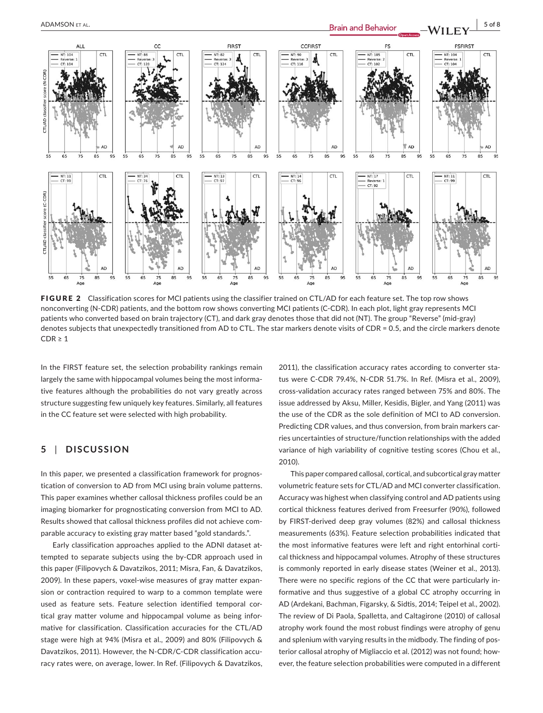

FIGURE 2 Classification scores for MCI patients using the classifier trained on CTL/AD for each feature set. The top row shows nonconverting (N-CDR) patients, and the bottom row shows converting MCI patients (C-CDR). In each plot, light gray represents MCI patients who converted based on brain trajectory (CT), and dark gray denotes those that did not (NT). The group "Reverse" (mid-gray) denotes subjects that unexpectedly transitioned from AD to CTL. The star markers denote visits of CDR = 0.5, and the circle markers denote  $CDR \geq 1$ 

In the FIRST feature set, the selection probability rankings remain largely the same with hippocampal volumes being the most informative features although the probabilities do not vary greatly across structure suggesting few uniquely key features. Similarly, all features in the CC feature set were selected with high probability.

# **5** | **DISCUSSION**

In this paper, we presented a classification framework for prognostication of conversion to AD from MCI using brain volume patterns. This paper examines whether callosal thickness profiles could be an imaging biomarker for prognosticating conversion from MCI to AD. Results showed that callosal thickness profiles did not achieve comparable accuracy to existing gray matter based "gold standards.".

Early classification approaches applied to the ADNI dataset attempted to separate subjects using the by-CDR approach used in this paper (Filipovych & Davatzikos, 2011; Misra, Fan, & Davatzikos, 2009). In these papers, voxel-wise measures of gray matter expansion or contraction required to warp to a common template were used as feature sets. Feature selection identified temporal cortical gray matter volume and hippocampal volume as being informative for classification. Classification accuracies for the CTL/AD stage were high at 94% (Misra et al., 2009) and 80% (Filipovych & Davatzikos, 2011). However, the N-CDR/C-CDR classification accuracy rates were, on average, lower. In Ref. (Filipovych & Davatzikos, 2011), the classification accuracy rates according to converter status were C-CDR 79.4%, N-CDR 51.7%. In Ref. (Misra et al., 2009), cross-validation accuracy rates ranged between 75% and 80%. The issue addressed by Aksu, Miller, Kesidis, Bigler, and Yang (2011) was the use of the CDR as the sole definition of MCI to AD conversion. Predicting CDR values, and thus conversion, from brain markers carries uncertainties of structure/function relationships with the added variance of high variability of cognitive testing scores (Chou et al., 2010).

This paper compared callosal, cortical, and subcortical gray matter volumetric feature sets for CTL/AD and MCI converter classification. Accuracy was highest when classifying control and AD patients using cortical thickness features derived from Freesurfer (90%), followed by FIRST‐derived deep gray volumes (82%) and callosal thickness measurements (63%). Feature selection probabilities indicated that the most informative features were left and right entorhinal cortical thickness and hippocampal volumes. Atrophy of these structures is commonly reported in early disease states (Weiner et al., 2013). There were no specific regions of the CC that were particularly informative and thus suggestive of a global CC atrophy occurring in AD (Ardekani, Bachman, Figarsky, & Sidtis, 2014; Teipel et al., 2002). The review of Di Paola, Spalletta, and Caltagirone (2010) of callosal atrophy work found the most robust findings were atrophy of genu and splenium with varying results in the midbody. The finding of posterior callosal atrophy of Migliaccio et al. (2012) was not found; however, the feature selection probabilities were computed in a different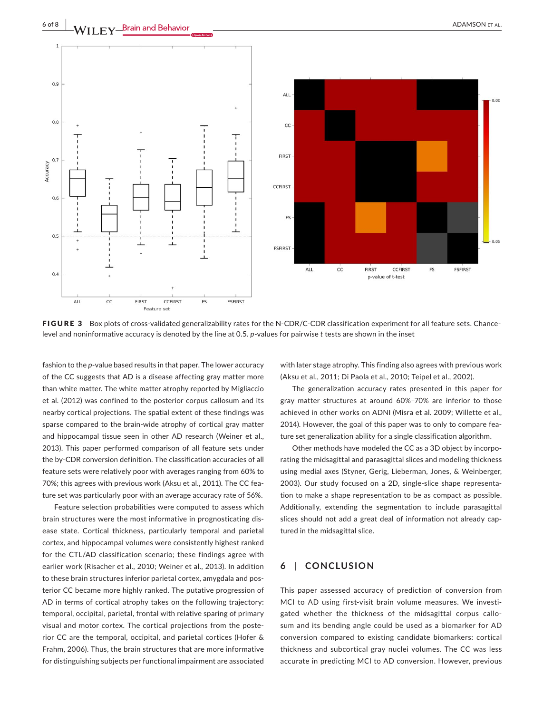

FIGURE 3 Box plots of cross-validated generalizability rates for the N-CDR/C-CDR classification experiment for all feature sets. Chancelevel and noninformative accuracy is denoted by the line at 0.5. *p*-values for pairwise *t* tests are shown in the inset

fashion to the *p*-value based results in that paper. The lower accuracy of the CC suggests that AD is a disease affecting gray matter more than white matter. The white matter atrophy reported by Migliaccio et al. (2012) was confined to the posterior corpus callosum and its nearby cortical projections. The spatial extent of these findings was sparse compared to the brain-wide atrophy of cortical gray matter and hippocampal tissue seen in other AD research (Weiner et al., 2013). This paper performed comparison of all feature sets under the by-CDR conversion definition. The classification accuracies of all feature sets were relatively poor with averages ranging from 60% to 70%; this agrees with previous work (Aksu et al., 2011). The CC feature set was particularly poor with an average accuracy rate of 56%.

Feature selection probabilities were computed to assess which brain structures were the most informative in prognosticating disease state. Cortical thickness, particularly temporal and parietal cortex, and hippocampal volumes were consistently highest ranked for the CTL/AD classification scenario; these findings agree with earlier work (Risacher et al., 2010; Weiner et al., 2013). In addition to these brain structures inferior parietal cortex, amygdala and posterior CC became more highly ranked. The putative progression of AD in terms of cortical atrophy takes on the following trajectory: temporal, occipital, parietal, frontal with relative sparing of primary visual and motor cortex. The cortical projections from the posterior CC are the temporal, occipital, and parietal cortices (Hofer & Frahm, 2006). Thus, the brain structures that are more informative for distinguishing subjects per functional impairment are associated

with later stage atrophy. This finding also agrees with previous work (Aksu et al., 2011; Di Paola et al., 2010; Teipel et al., 2002).

The generalization accuracy rates presented in this paper for gray matter structures at around 60%–70% are inferior to those achieved in other works on ADNI (Misra et al. 2009; Willette et al., 2014). However, the goal of this paper was to only to compare feature set generalization ability for a single classification algorithm.

Other methods have modeled the CC as a 3D object by incorporating the midsagittal and parasagittal slices and modeling thickness using medial axes (Styner, Gerig, Lieberman, Jones, & Weinberger, 2003). Our study focused on a 2D, single-slice shape representation to make a shape representation to be as compact as possible. Additionally, extending the segmentation to include parasagittal slices should not add a great deal of information not already captured in the midsagittal slice.

## **6** | **CONCLUSION**

This paper assessed accuracy of prediction of conversion from MCI to AD using first-visit brain volume measures. We investigated whether the thickness of the midsagittal corpus callosum and its bending angle could be used as a biomarker for AD conversion compared to existing candidate biomarkers: cortical thickness and subcortical gray nuclei volumes. The CC was less accurate in predicting MCI to AD conversion. However, previous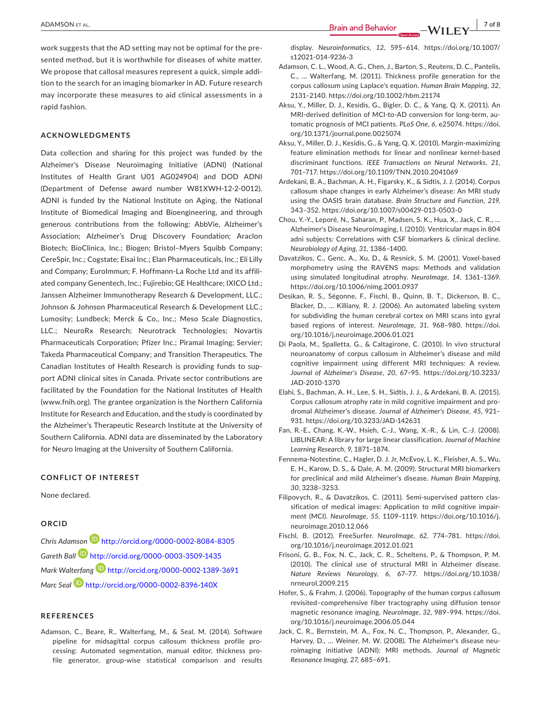**ADAMSON** ET AL. 2018

work suggests that the AD setting may not be optimal for the presented method, but it is worthwhile for diseases of white matter. We propose that callosal measures represent a quick, simple addition to the search for an imaging biomarker in AD. Future research may incorporate these measures to aid clinical assessments in a rapid fashion.

#### **ACKNOWLEDGMENTS**

Data collection and sharing for this project was funded by the Alzheimer's Disease Neuroimaging Initiative (ADNI) (National Institutes of Health Grant U01 AG024904) and DOD ADNI (Department of Defense award number W81XWH-12-2-0012). ADNI is funded by the National Institute on Aging, the National Institute of Biomedical Imaging and Bioengineering, and through generous contributions from the following: AbbVie, Alzheimer's Association; Alzheimer's Drug Discovery Foundation; Araclon Biotech; BioClinica, Inc.; Biogen; Bristol–Myers Squibb Company; CereSpir, Inc.; Cogstate; Eisai Inc.; Elan Pharmaceuticals, Inc.; Eli Lilly and Company; EuroImmun; F. Hoffmann-La Roche Ltd and its affiliated company Genentech, Inc.; Fujirebio; GE Healthcare; IXICO Ltd.; Janssen Alzheimer Immunotherapy Research & Development, LLC.; Johnson & Johnson Pharmaceutical Research & Development LLC.; Lumosity; Lundbeck; Merck & Co., Inc.; Meso Scale Diagnostics, LLC.; NeuroRx Research; Neurotrack Technologies; Novartis Pharmaceuticals Corporation; Pfizer Inc.; Piramal Imaging; Servier; Takeda Pharmaceutical Company; and Transition Therapeutics. The Canadian Institutes of Health Research is providing funds to support ADNI clinical sites in Canada. Private sector contributions are facilitated by the Foundation for the National Institutes of Health (<www.fnih.org>). The grantee organization is the Northern California Institute for Research and Education, and the study is coordinated by the Alzheimer's Therapeutic Research Institute at the University of Southern California. ADNI data are disseminated by the Laboratory for Neuro Imaging at the University of Southern California.

#### **CONFLICT OF INTEREST**

None declared.

#### **ORCID**

*Chris Adamson* <http://orcid.org/0000-0002-8084-8305> *Gareth Ball* <http://orcid.org/0000-0003-3509-1435> *Mark Walterfang* <http://orcid.org/0000-0002-1389-3691> *Marc Sea[l](http://orcid.org/0000-0002-8396-140X)* <http://orcid.org/0000-0002-8396-140X>

### **REFERENCES**

Adamson, C., Beare, R., Walterfang, M., & Seal, M. (2014). Software pipeline for midsagittal corpus callosum thickness profile processing: Automated segmentation, manual editor, thickness profile generator, group-wise statistical comparison and results display. *Neuroinformatics*, *12*, 595–614. [https://doi.org/10.1007/](https://doi.org/10.1007/s12021-014-9236-3) [s12021-014-9236-3](https://doi.org/10.1007/s12021-014-9236-3)

- Adamson, C. L., Wood, A. G., Chen, J., Barton, S., Reutens, D. C., Pantelis, C., … Walterfang, M. (2011). Thickness profile generation for the corpus callosum using Laplace's equation. *Human Brain Mapping*, *32*, 2131–2140. <https://doi.org/10.1002/hbm.21174>
- Aksu, Y., Miller, D. J., Kesidis, G., Bigler, D. C., & Yang, Q. X. (2011). An MRI-derived definition of MCI-to-AD conversion for long-term, automatic prognosis of MCI patients. *PLoS One*, *6*, e25074. [https://doi.](https://doi.org/10.1371/journal.pone.0025074) [org/10.1371/journal.pone.0025074](https://doi.org/10.1371/journal.pone.0025074)
- Aksu, Y., Miller, D. J., Kesidis, G., & Yang, Q. X. (2010). Margin-maximizing feature elimination methods for linear and nonlinear kernel-based discriminant functions. *IEEE Transactions on Neural Networks*, *21*, 701–717. <https://doi.org/10.1109/TNN.2010.2041069>
- Ardekani, B. A., Bachman, A. H., Figarsky, K., & Sidtis, J. J. (2014). Corpus callosum shape changes in early Alzheimer's disease: An MRI study using the OASIS brain database. *Brain Structure and Function*, *219*, 343–352.<https://doi.org/10.1007/s00429-013-0503-0>
- Chou, Y.‐Y., Leporé, N., Saharan, P., Madsen, S. K., Hua, X., Jack, C. R., … Alzheimer's Disease Neuroimaging, I. (2010). Ventricular maps in 804 adni subjects: Correlations with CSF biomarkers & clinical decline. *Neurobiology of Aging*, *31*, 1386–1400.
- Davatzikos, C., Genc, A., Xu, D., & Resnick, S. M. (2001). Voxel‐based morphometry using the RAVENS maps: Methods and validation using simulated longitudinal atrophy. *NeuroImage*, *14*, 1361–1369. <https://doi.org/10.1006/nimg.2001.0937>
- Desikan, R. S., Ségonne, F., Fischl, B., Quinn, B. T., Dickerson, B. C., Blacker, D., … Killiany, R. J. (2006). An automated labeling system for subdividing the human cerebral cortex on MRI scans into gyral based regions of interest. *NeuroImage*, *31*, 968–980. [https://doi.](https://doi.org/10.1016/j.neuroimage.2006.01.021) [org/10.1016/j.neuroimage.2006.01.021](https://doi.org/10.1016/j.neuroimage.2006.01.021)
- Di Paola, M., Spalletta, G., & Caltagirone, C. (2010). In vivo structural neuroanatomy of corpus callosum in Alzheimer's disease and mild cognitive impairment using different MRI techniques: A review. *Journal of Alzheimer's Disease*, *20*, 67–95. [https://doi.org/10.3233/](https://doi.org/10.3233/JAD-2010-1370) [JAD-2010-1370](https://doi.org/10.3233/JAD-2010-1370)
- Elahi, S., Bachman, A. H., Lee, S. H., Sidtis, J. J., & Ardekani, B. A. (2015). Corpus callosum atrophy rate in mild cognitive impairment and prodromal Alzheimer's disease. *Journal of Alzheimer's Disease*, *45*, 921– 931. <https://doi.org/10.3233/JAD-142631>
- Fan, R.-E., Chang, K.-W., Hsieh, C.-J., Wang, X.-R., & Lin, C.-J. (2008). LIBLINEAR: A library for large linear classification. *Journal of Machine Learning Research*, *9*, 1871–1874.
- Fennema‐Notestine, C., Hagler, D. J. Jr, McEvoy, L. K., Fleisher, A. S., Wu, E. H., Karow, D. S., & Dale, A. M. (2009). Structural MRI biomarkers for preclinical and mild Alzheimer's disease. *Human Brain Mapping*, *30*, 3238–3253.
- Filipovych, R., & Davatzikos, C. (2011). Semi‐supervised pattern classification of medical images: Application to mild cognitive impairment (MCI). *NeuroImage*, *55*, 1109–1119. [https://doi.org/10.1016/j.](https://doi.org/10.1016/j.neuroimage.2010.12.066) [neuroimage.2010.12.066](https://doi.org/10.1016/j.neuroimage.2010.12.066)
- Fischl, B. (2012). FreeSurfer. *NeuroImage*, *62*, 774–781. [https://doi.](https://doi.org/10.1016/j.neuroimage.2012.01.021) [org/10.1016/j.neuroimage.2012.01.021](https://doi.org/10.1016/j.neuroimage.2012.01.021)
- Frisoni, G. B., Fox, N. C., Jack, C. R., Scheltens, P., & Thompson, P. M. (2010). The clinical use of structural MRI in Alzheimer disease. *Nature Reviews Neurology*, *6*, 67–77. [https://doi.org/10.1038/](https://doi.org/10.1038/nrneurol.2009.215) [nrneurol.2009.215](https://doi.org/10.1038/nrneurol.2009.215)
- Hofer, S., & Frahm, J. (2006). Topography of the human corpus callosum revisited–comprehensive fiber tractography using diffusion tensor magnetic resonance imaging. *NeuroImage*, *32*, 989–994. [https://doi.](https://doi.org/10.1016/j.neuroimage.2006.05.044) [org/10.1016/j.neuroimage.2006.05.044](https://doi.org/10.1016/j.neuroimage.2006.05.044)
- Jack, C. R., Bernstein, M. A., Fox, N. C., Thompson, P., Alexander, G., Harvey, D., … Weiner, M. W. (2008). The Alzheimer's disease neuroimaging initiative (ADNI): MRI methods. *Journal of Magnetic Resonance Imaging*, *27*, 685–691.